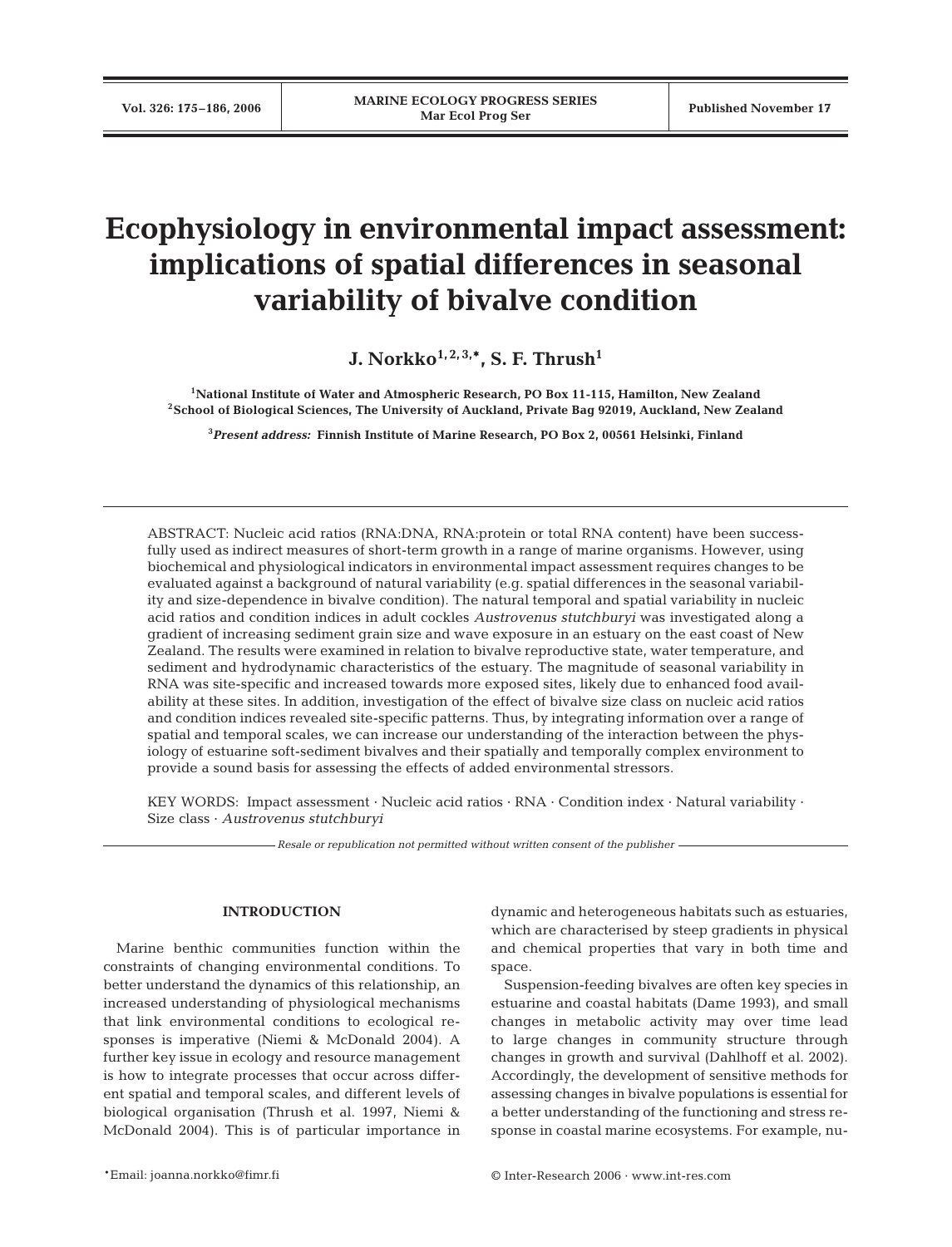# **Ecophysiology in environmental impact assessment: implications of spatial differences in seasonal variability of bivalve condition**

**J. Norkko**<sup> $1, 2, 3, *$ </sup>, S. F. Thrush<sup>1</sup>

**1National Institute of Water and Atmospheric Research, PO Box 11-115, Hamilton, New Zealand 2School of Biological Sciences, The University of Auckland, Private Bag 92019, Auckland, New Zealand**

**3** *Present address:* **Finnish Institute of Marine Research, PO Box 2, 00561 Helsinki, Finland**

ABSTRACT: Nucleic acid ratios (RNA:DNA, RNA:protein or total RNA content) have been successfully used as indirect measures of short-term growth in a range of marine organisms. However, using biochemical and physiological indicators in environmental impact assessment requires changes to be evaluated against a background of natural variability (e.g. spatial differences in the seasonal variability and size-dependence in bivalve condition). The natural temporal and spatial variability in nucleic acid ratios and condition indices in adult cockles *Austrovenus stutchburyi* was investigated along a gradient of increasing sediment grain size and wave exposure in an estuary on the east coast of New Zealand. The results were examined in relation to bivalve reproductive state, water temperature, and sediment and hydrodynamic characteristics of the estuary. The magnitude of seasonal variability in RNA was site-specific and increased towards more exposed sites, likely due to enhanced food availability at these sites. In addition, investigation of the effect of bivalve size class on nucleic acid ratios and condition indices revealed site-specific patterns. Thus, by integrating information over a range of spatial and temporal scales, we can increase our understanding of the interaction between the physiology of estuarine soft-sediment bivalves and their spatially and temporally complex environment to provide a sound basis for assessing the effects of added environmental stressors.

KEY WORDS: Impact assessment  $\cdot$  Nucleic acid ratios  $\cdot$  RNA  $\cdot$  Condition index  $\cdot$  Natural variability  $\cdot$ Size class · *Austrovenus stutchburyi*

*Resale or republication not permitted without written consent of the publisher*

## **INTRODUCTION**

Marine benthic communities function within the constraints of changing environmental conditions. To better understand the dynamics of this relationship, an increased understanding of physiological mechanisms that link environmental conditions to ecological responses is imperative (Niemi & McDonald 2004). A further key issue in ecology and resource management is how to integrate processes that occur across different spatial and temporal scales, and different levels of biological organisation (Thrush et al. 1997, Niemi & McDonald 2004). This is of particular importance in

dynamic and heterogeneous habitats such as estuaries, which are characterised by steep gradients in physical and chemical properties that vary in both time and space.

Suspension-feeding bivalves are often key species in estuarine and coastal habitats (Dame 1993), and small changes in metabolic activity may over time lead to large changes in community structure through changes in growth and survival (Dahlhoff et al. 2002). Accordingly, the development of sensitive methods for assessing changes in bivalve populations is essential for a better understanding of the functioning and stress response in coastal marine ecosystems. For example, nu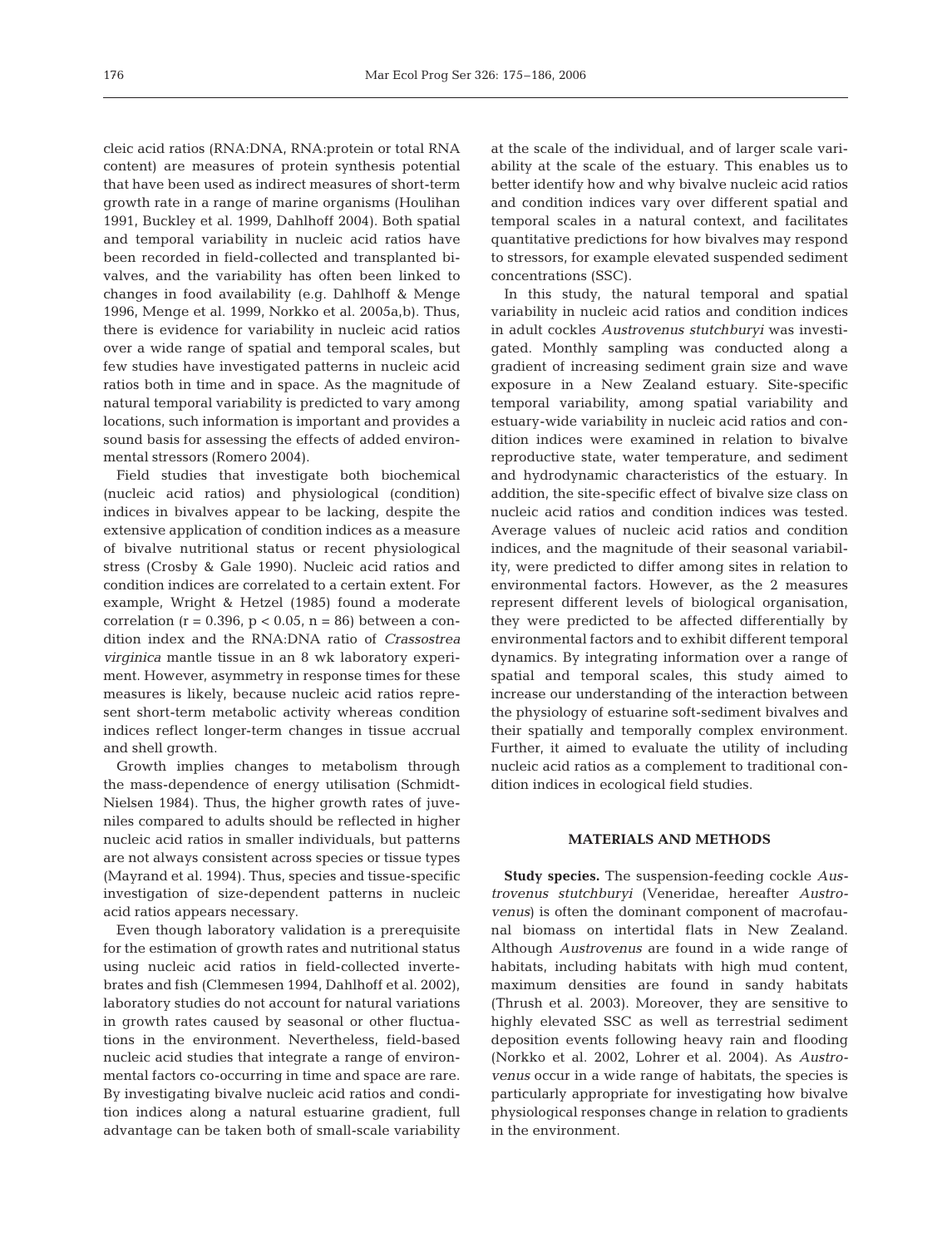cleic acid ratios (RNA:DNA, RNA:protein or total RNA content) are measures of protein synthesis potential that have been used as indirect measures of short-term growth rate in a range of marine organisms (Houlihan 1991, Buckley et al. 1999, Dahlhoff 2004). Both spatial and temporal variability in nucleic acid ratios have been recorded in field-collected and transplanted bivalves, and the variability has often been linked to changes in food availability (e.g. Dahlhoff & Menge 1996, Menge et al. 1999, Norkko et al. 2005a,b). Thus, there is evidence for variability in nucleic acid ratios over a wide range of spatial and temporal scales, but few studies have investigated patterns in nucleic acid ratios both in time and in space. As the magnitude of natural temporal variability is predicted to vary among locations, such information is important and provides a sound basis for assessing the effects of added environmental stressors (Romero 2004).

Field studies that investigate both biochemical (nucleic acid ratios) and physiological (condition) indices in bivalves appear to be lacking, despite the extensive application of condition indices as a measure of bivalve nutritional status or recent physiological stress (Crosby & Gale 1990). Nucleic acid ratios and condition indices are correlated to a certain extent. For example, Wright & Hetzel (1985) found a moderate correlation ( $r = 0.396$ ,  $p < 0.05$ ,  $n = 86$ ) between a condition index and the RNA:DNA ratio of *Crassostrea virginica* mantle tissue in an 8 wk laboratory experiment. However, asymmetry in response times for these measures is likely, because nucleic acid ratios represent short-term metabolic activity whereas condition indices reflect longer-term changes in tissue accrual and shell growth.

Growth implies changes to metabolism through the mass-dependence of energy utilisation (Schmidt-Nielsen 1984). Thus, the higher growth rates of juveniles compared to adults should be reflected in higher nucleic acid ratios in smaller individuals, but patterns are not always consistent across species or tissue types (Mayrand et al. 1994). Thus, species and tissue-specific investigation of size-dependent patterns in nucleic acid ratios appears necessary.

Even though laboratory validation is a prerequisite for the estimation of growth rates and nutritional status using nucleic acid ratios in field-collected invertebrates and fish (Clemmesen 1994, Dahlhoff et al. 2002), laboratory studies do not account for natural variations in growth rates caused by seasonal or other fluctuations in the environment. Nevertheless, field-based nucleic acid studies that integrate a range of environmental factors co-occurring in time and space are rare. By investigating bivalve nucleic acid ratios and condition indices along a natural estuarine gradient, full advantage can be taken both of small-scale variability at the scale of the individual, and of larger scale variability at the scale of the estuary. This enables us to better identify how and why bivalve nucleic acid ratios and condition indices vary over different spatial and temporal scales in a natural context, and facilitates quantitative predictions for how bivalves may respond to stressors, for example elevated suspended sediment concentrations (SSC).

In this study, the natural temporal and spatial variability in nucleic acid ratios and condition indices in adult cockles *Austrovenus stutchburyi* was investigated. Monthly sampling was conducted along a gradient of increasing sediment grain size and wave exposure in a New Zealand estuary. Site-specific temporal variability, among spatial variability and estuary-wide variability in nucleic acid ratios and condition indices were examined in relation to bivalve reproductive state, water temperature, and sediment and hydrodynamic characteristics of the estuary. In addition, the site-specific effect of bivalve size class on nucleic acid ratios and condition indices was tested. Average values of nucleic acid ratios and condition indices, and the magnitude of their seasonal variability, were predicted to differ among sites in relation to environmental factors. However, as the 2 measures represent different levels of biological organisation, they were predicted to be affected differentially by environmental factors and to exhibit different temporal dynamics. By integrating information over a range of spatial and temporal scales, this study aimed to increase our understanding of the interaction between the physiology of estuarine soft-sediment bivalves and their spatially and temporally complex environment. Further, it aimed to evaluate the utility of including nucleic acid ratios as a complement to traditional condition indices in ecological field studies.

## **MATERIALS AND METHODS**

**Study species.** The suspension-feeding cockle *Austrovenus stutchburyi* (Veneridae, hereafter *Austrovenus*) is often the dominant component of macrofaunal biomass on intertidal flats in New Zealand. Although *Austrovenus* are found in a wide range of habitats, including habitats with high mud content, maximum densities are found in sandy habitats (Thrush et al. 2003). Moreover, they are sensitive to highly elevated SSC as well as terrestrial sediment deposition events following heavy rain and flooding (Norkko et al. 2002, Lohrer et al. 2004). As *Austrovenus* occur in a wide range of habitats, the species is particularly appropriate for investigating how bivalve physiological responses change in relation to gradients in the environment.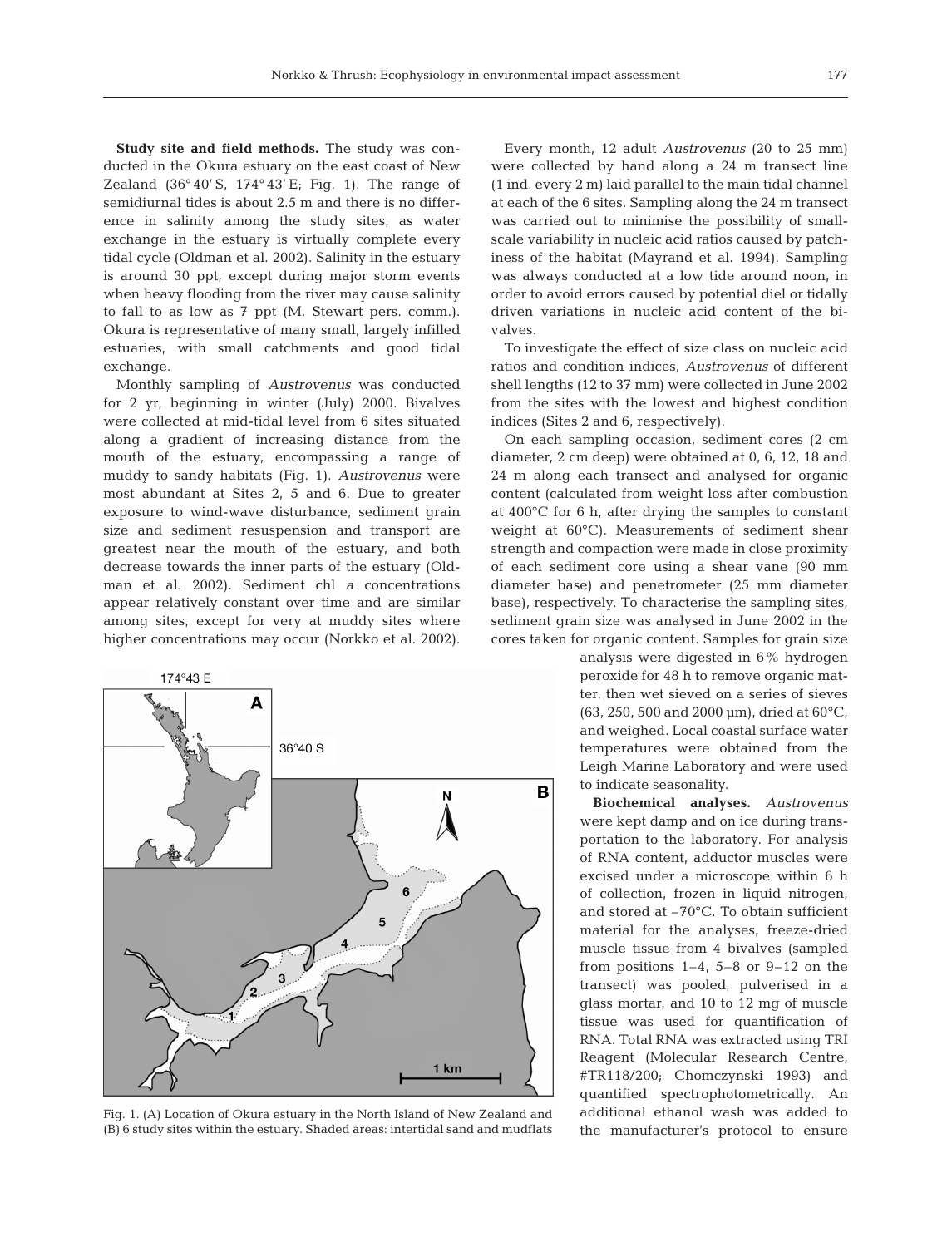**Study site and field methods.** The study was conducted in the Okura estuary on the east coast of New Zealand  $(36°40' S, 174°43' E; Fig. 1)$ . The range of semidiurnal tides is about 2.5 m and there is no difference in salinity among the study sites, as water exchange in the estuary is virtually complete every tidal cycle (Oldman et al. 2002). Salinity in the estuary is around 30 ppt, except during major storm events when heavy flooding from the river may cause salinity to fall to as low as 7 ppt (M. Stewart pers. comm.). Okura is representative of many small, largely infilled estuaries, with small catchments and good tidal exchange.

Monthly sampling of *Austrovenus* was conducted for 2 yr, beginning in winter (July) 2000. Bivalves were collected at mid-tidal level from 6 sites situated along a gradient of increasing distance from the mouth of the estuary, encompassing a range of muddy to sandy habitats (Fig. 1). *Austrovenus* were most abundant at Sites 2, 5 and 6. Due to greater exposure to wind-wave disturbance, sediment grain size and sediment resuspension and transport are greatest near the mouth of the estuary, and both decrease towards the inner parts of the estuary (Oldman et al. 2002). Sediment chl *a* concentrations appear relatively constant over time and are similar among sites, except for very at muddy sites where higher concentrations may occur (Norkko et al. 2002).



Fig. 1. (A) Location of Okura estuary in the North Island of New Zealand and (B) 6 study sites within the estuary. Shaded areas: intertidal sand and mudflats

Every month, 12 adult *Austrovenus* (20 to 25 mm) were collected by hand along a 24 m transect line (1 ind. every 2 m) laid parallel to the main tidal channel at each of the 6 sites. Sampling along the 24 m transect was carried out to minimise the possibility of smallscale variability in nucleic acid ratios caused by patchiness of the habitat (Mayrand et al. 1994). Sampling was always conducted at a low tide around noon, in order to avoid errors caused by potential diel or tidally driven variations in nucleic acid content of the bivalves.

To investigate the effect of size class on nucleic acid ratios and condition indices, *Austrovenus* of different shell lengths (12 to 37 mm) were collected in June 2002 from the sites with the lowest and highest condition indices (Sites 2 and 6, respectively).

On each sampling occasion, sediment cores (2 cm diameter, 2 cm deep) were obtained at 0, 6, 12, 18 and 24 m along each transect and analysed for organic content (calculated from weight loss after combustion at 400°C for 6 h, after drying the samples to constant weight at 60°C). Measurements of sediment shear strength and compaction were made in close proximity of each sediment core using a shear vane (90 mm diameter base) and penetrometer (25 mm diameter base), respectively. To characterise the sampling sites, sediment grain size was analysed in June 2002 in the cores taken for organic content. Samples for grain size

> analysis were digested in 6% hydrogen peroxide for 48 h to remove organic matter, then wet sieved on a series of sieves (63, 250, 500 and 2000 µm), dried at 60°C, and weighed. Local coastal surface water temperatures were obtained from the Leigh Marine Laboratory and were used to indicate seasonality.

> **Biochemical analyses.** *Austrovenus* were kept damp and on ice during transportation to the laboratory. For analysis of RNA content, adductor muscles were excised under a microscope within 6 h of collection, frozen in liquid nitrogen, and stored at –70°C. To obtain sufficient material for the analyses, freeze-dried muscle tissue from 4 bivalves (sampled from positions 1–4, 5–8 or 9–12 on the transect) was pooled, pulverised in a glass mortar, and 10 to 12 mg of muscle tissue was used for quantification of RNA. Total RNA was extracted using TRI Reagent (Molecular Research Centre, #TR118/200; Chomczynski 1993) and quantified spectrophotometrically. An additional ethanol wash was added to the manufacturer's protocol to ensure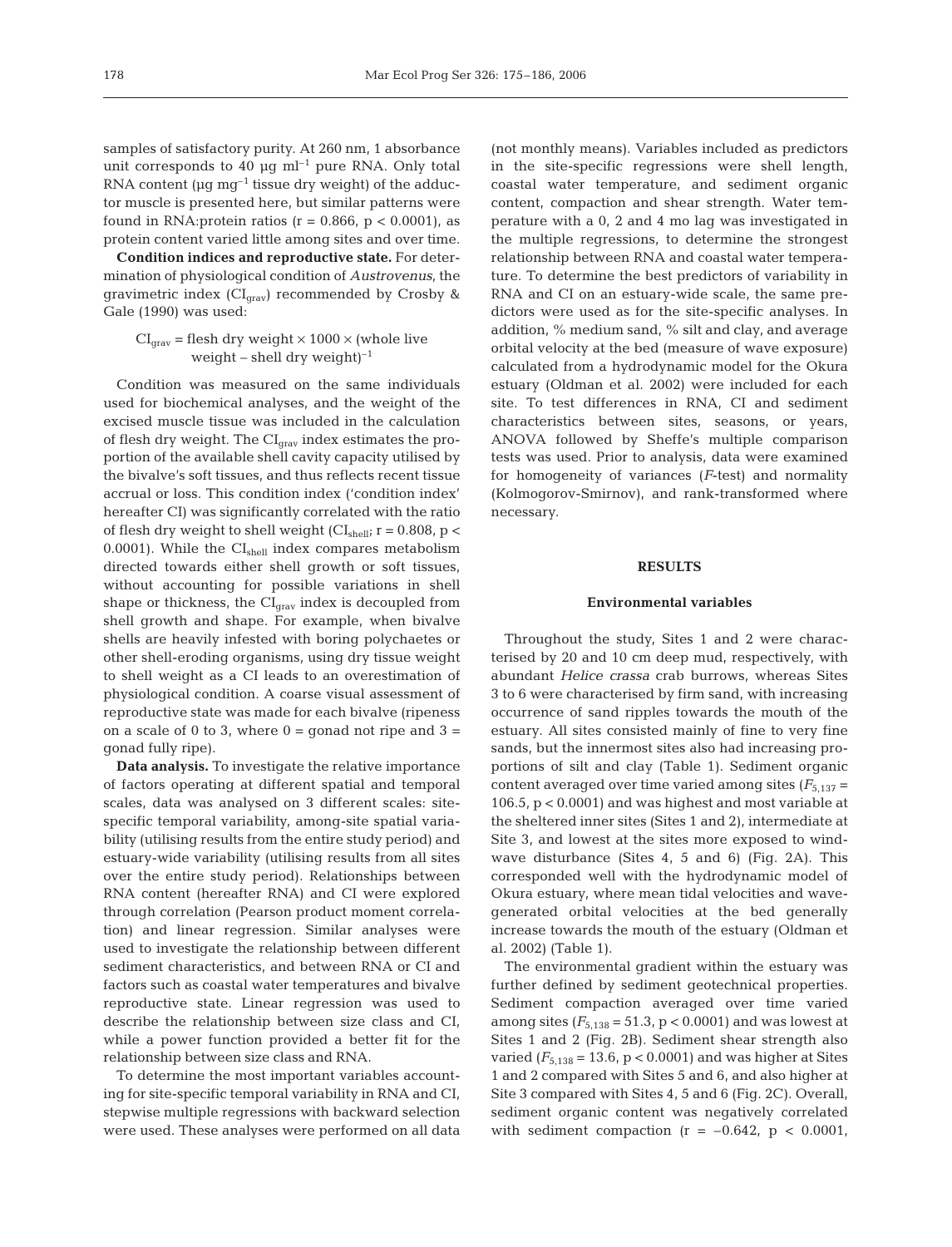samples of satisfactory purity. At 260 nm, 1 absorbance unit corresponds to 40  $\mu$ q ml<sup>-1</sup> pure RNA. Only total RNA content ( $\mu$ g mg<sup>-1</sup> tissue dry weight) of the adductor muscle is presented here, but similar patterns were found in RNA: protein ratios ( $r = 0.866$ ,  $p < 0.0001$ ), as protein content varied little among sites and over time.

**Condition indices and reproductive state.** For determination of physiological condition of *Austrovenus*, the gravimetric index  $(Cl<sub>grav</sub>)$  recommended by Crosby & Gale (1990) was used:

 $CI<sub>grav</sub>$  = flesh dry weight  $\times$  1000  $\times$  (whole live weight – shell dry weight $)^{-1}$ 

Condition was measured on the same individuals used for biochemical analyses, and the weight of the excised muscle tissue was included in the calculation of flesh dry weight. The  $CI_{\text{grav}}$  index estimates the proportion of the available shell cavity capacity utilised by the bivalve's soft tissues, and thus reflects recent tissue accrual or loss. This condition index ('condition index' hereafter CI) was significantly correlated with the ratio of flesh dry weight to shell weight ( $CI<sub>shell</sub>$ ; r = 0.808, p < 0.0001). While the  $CI<sub>shell</sub>$  index compares metabolism directed towards either shell growth or soft tissues, without accounting for possible variations in shell shape or thickness, the  $CI<sub>grav</sub>$  index is decoupled from shell growth and shape. For example, when bivalve shells are heavily infested with boring polychaetes or other shell-eroding organisms, using dry tissue weight to shell weight as a CI leads to an overestimation of physiological condition. A coarse visual assessment of reproductive state was made for each bivalve (ripeness on a scale of 0 to 3, where  $0 =$  gonad not ripe and  $3 =$ gonad fully ripe).

**Data analysis.** To investigate the relative importance of factors operating at different spatial and temporal scales, data was analysed on 3 different scales: sitespecific temporal variability, among-site spatial variability (utilising results from the entire study period) and estuary-wide variability (utilising results from all sites over the entire study period). Relationships between RNA content (hereafter RNA) and CI were explored through correlation (Pearson product moment correlation) and linear regression. Similar analyses were used to investigate the relationship between different sediment characteristics, and between RNA or CI and factors such as coastal water temperatures and bivalve reproductive state. Linear regression was used to describe the relationship between size class and CI, while a power function provided a better fit for the relationship between size class and RNA.

To determine the most important variables accounting for site-specific temporal variability in RNA and CI, stepwise multiple regressions with backward selection were used. These analyses were performed on all data

(not monthly means). Variables included as predictors in the site-specific regressions were shell length, coastal water temperature, and sediment organic content, compaction and shear strength. Water temperature with a 0, 2 and 4 mo lag was investigated in the multiple regressions, to determine the strongest relationship between RNA and coastal water temperature. To determine the best predictors of variability in RNA and CI on an estuary-wide scale, the same predictors were used as for the site-specific analyses. In addition, % medium sand, % silt and clay, and average orbital velocity at the bed (measure of wave exposure) calculated from a hydrodynamic model for the Okura estuary (Oldman et al. 2002) were included for each site. To test differences in RNA, CI and sediment characteristics between sites, seasons, or years, ANOVA followed by Sheffe's multiple comparison tests was used. Prior to analysis, data were examined for homogeneity of variances (*F*-test) and normality (Kolmogorov-Smirnov), and rank-transformed where necessary.

## **RESULTS**

#### **Environmental variables**

Throughout the study, Sites 1 and 2 were characterised by 20 and 10 cm deep mud, respectively, with abundant *Helice crassa* crab burrows, whereas Sites 3 to 6 were characterised by firm sand, with increasing occurrence of sand ripples towards the mouth of the estuary. All sites consisted mainly of fine to very fine sands, but the innermost sites also had increasing proportions of silt and clay (Table 1). Sediment organic content averaged over time varied among sites  $(F_{5,137} =$ 106.5, p < 0.0001) and was highest and most variable at the sheltered inner sites (Sites 1 and 2), intermediate at Site 3, and lowest at the sites more exposed to windwave disturbance (Sites 4, 5 and 6) (Fig. 2A). This corresponded well with the hydrodynamic model of Okura estuary, where mean tidal velocities and wavegenerated orbital velocities at the bed generally increase towards the mouth of the estuary (Oldman et al. 2002) (Table 1).

The environmental gradient within the estuary was further defined by sediment geotechnical properties. Sediment compaction averaged over time varied among sites  $(F_{5,138} = 51.3, p < 0.0001)$  and was lowest at Sites 1 and 2 (Fig. 2B). Sediment shear strength also varied  $(F_{5,138} = 13.6, p < 0.0001)$  and was higher at Sites 1 and 2 compared with Sites 5 and 6, and also higher at Site 3 compared with Sites 4, 5 and 6 (Fig. 2C). Overall, sediment organic content was negatively correlated with sediment compaction  $(r = -0.642, p < 0.0001,$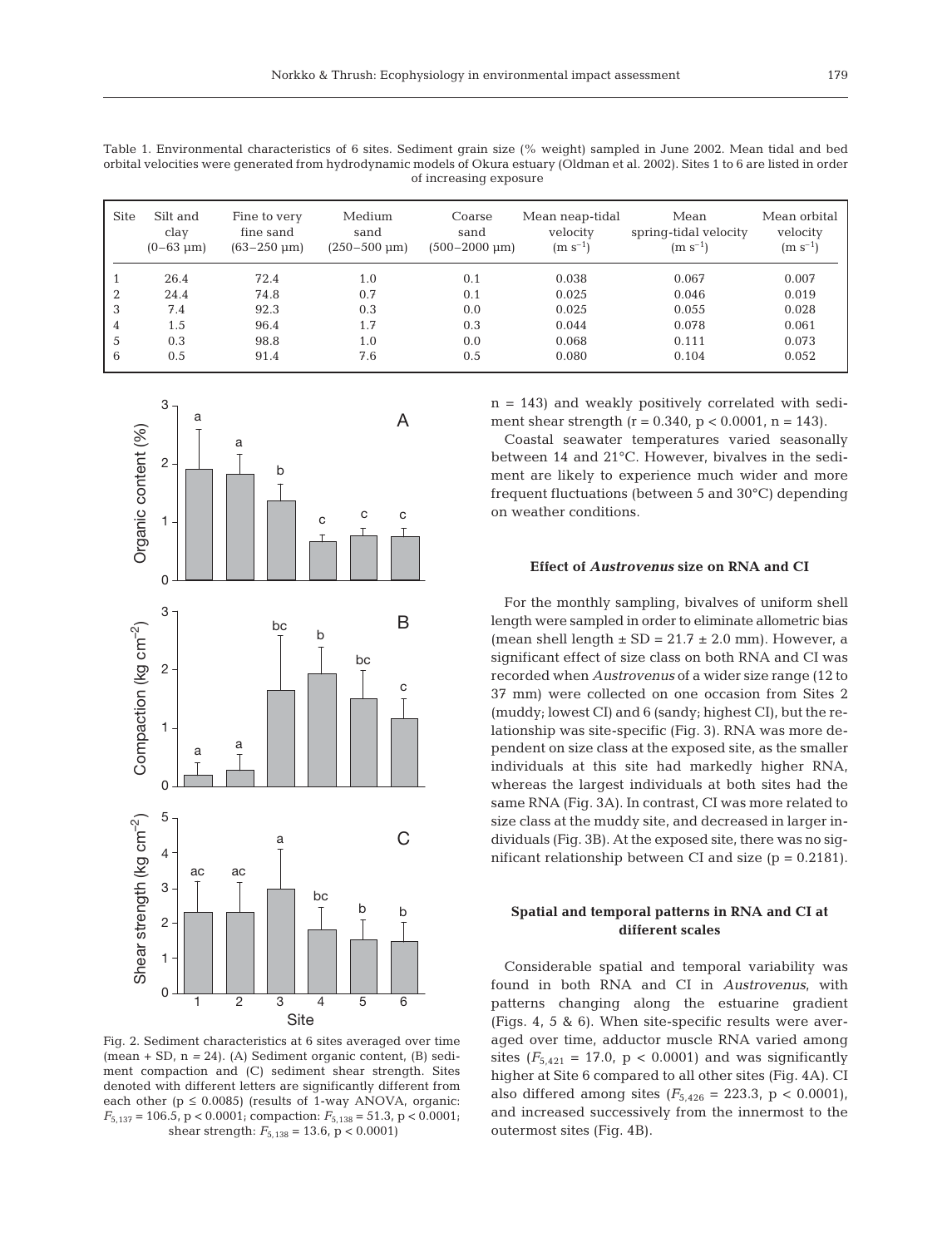Table 1. Environmental characteristics of 6 sites. Sediment grain size (% weight) sampled in June 2002. Mean tidal and bed orbital velocities were generated from hydrodynamic models of Okura estuary (Oldman et al. 2002). Sites 1 to 6 are listed in order of increasing exposure

| <b>Site</b>    | Silt and<br>clay<br>$(0-63 \text{ µm})$ | Fine to very<br>fine sand<br>$(63 - 250 \text{ µm})$ | Medium<br>sand<br>$(250 - 500 \text{ µm})$ | Coarse<br>sand<br>$(500 - 2000 \text{ µm})$ | Mean neap-tidal<br>velocity<br>$(m s^{-1})$ | Mean<br>spring-tidal velocity<br>$(m s^{-1})$ | Mean orbital<br>velocity<br>$(m s^{-1})$ |
|----------------|-----------------------------------------|------------------------------------------------------|--------------------------------------------|---------------------------------------------|---------------------------------------------|-----------------------------------------------|------------------------------------------|
|                | 26.4                                    | 72.4                                                 | 1.0                                        | 0.1                                         | 0.038                                       | 0.067                                         | 0.007                                    |
| $\overline{2}$ | 24.4                                    | 74.8                                                 | 0.7                                        | 0.1                                         | 0.025                                       | 0.046                                         | 0.019                                    |
| 3              | 7.4                                     | 92.3                                                 | 0.3                                        | 0.0                                         | 0.025                                       | 0.055                                         | 0.028                                    |
| 4              | 1.5                                     | 96.4                                                 | 1.7                                        | 0.3                                         | 0.044                                       | 0.078                                         | 0.061                                    |
| 5              | 0.3                                     | 98.8                                                 | 1.0                                        | 0.0                                         | 0.068                                       | 0.111                                         | 0.073                                    |
| 6              | 0.5                                     | 91.4                                                 | 7.6                                        | 0.5                                         | 0.080                                       | 0.104                                         | 0.052                                    |



Fig. 2. Sediment characteristics at 6 sites averaged over time (mean + SD, n *=* 24). (A) Sediment organic content, (B) sediment compaction and (C) sediment shear strength. Sites denoted with different letters are significantly different from each other ( $p \le 0.0085$ ) (results of 1-way ANOVA, organic: *F*5,137 = 106.5, p < 0.0001; compaction: *F*5,138 = 51.3, p < 0.0001; shear strength:  $F_{5,138} = 13.6$ , p < 0.0001)

 $n = 143$ ) and weakly positively correlated with sediment shear strength ( $r = 0.340$ ,  $p < 0.0001$ ,  $n = 143$ ).

Coastal seawater temperatures varied seasonally between 14 and 21°C. However, bivalves in the sediment are likely to experience much wider and more frequent fluctuations (between 5 and 30°C) depending on weather conditions.

## **Effect of** *Austrovenus* **size on RNA and CI**

For the monthly sampling, bivalves of uniform shell length were sampled in order to eliminate allometric bias (mean shell length  $\pm$  SD = 21.7  $\pm$  2.0 mm). However, a significant effect of size class on both RNA and CI was recorded when *Austrovenus* of a wider size range (12 to 37 mm) were collected on one occasion from Sites 2 (muddy; lowest CI) and 6 (sandy; highest CI), but the relationship was site-specific (Fig. 3). RNA was more dependent on size class at the exposed site, as the smaller individuals at this site had markedly higher RNA, whereas the largest individuals at both sites had the same RNA (Fig. 3A). In contrast, CI was more related to size class at the muddy site, and decreased in larger individuals (Fig. 3B). At the exposed site, there was no significant relationship between CI and size  $(p = 0.2181)$ .

# **Spatial and temporal patterns in RNA and CI at different scales**

Considerable spatial and temporal variability was found in both RNA and CI in *Austrovenus*, with patterns changing along the estuarine gradient (Figs. 4, 5 & 6). When site-specific results were averaged over time, adductor muscle RNA varied among sites  $(F_{5,421} = 17.0, p < 0.0001)$  and was significantly higher at Site 6 compared to all other sites (Fig. 4A). CI also differed among sites  $(F_{5,426} = 223.3, p < 0.0001)$ , and increased successively from the innermost to the outermost sites (Fig. 4B).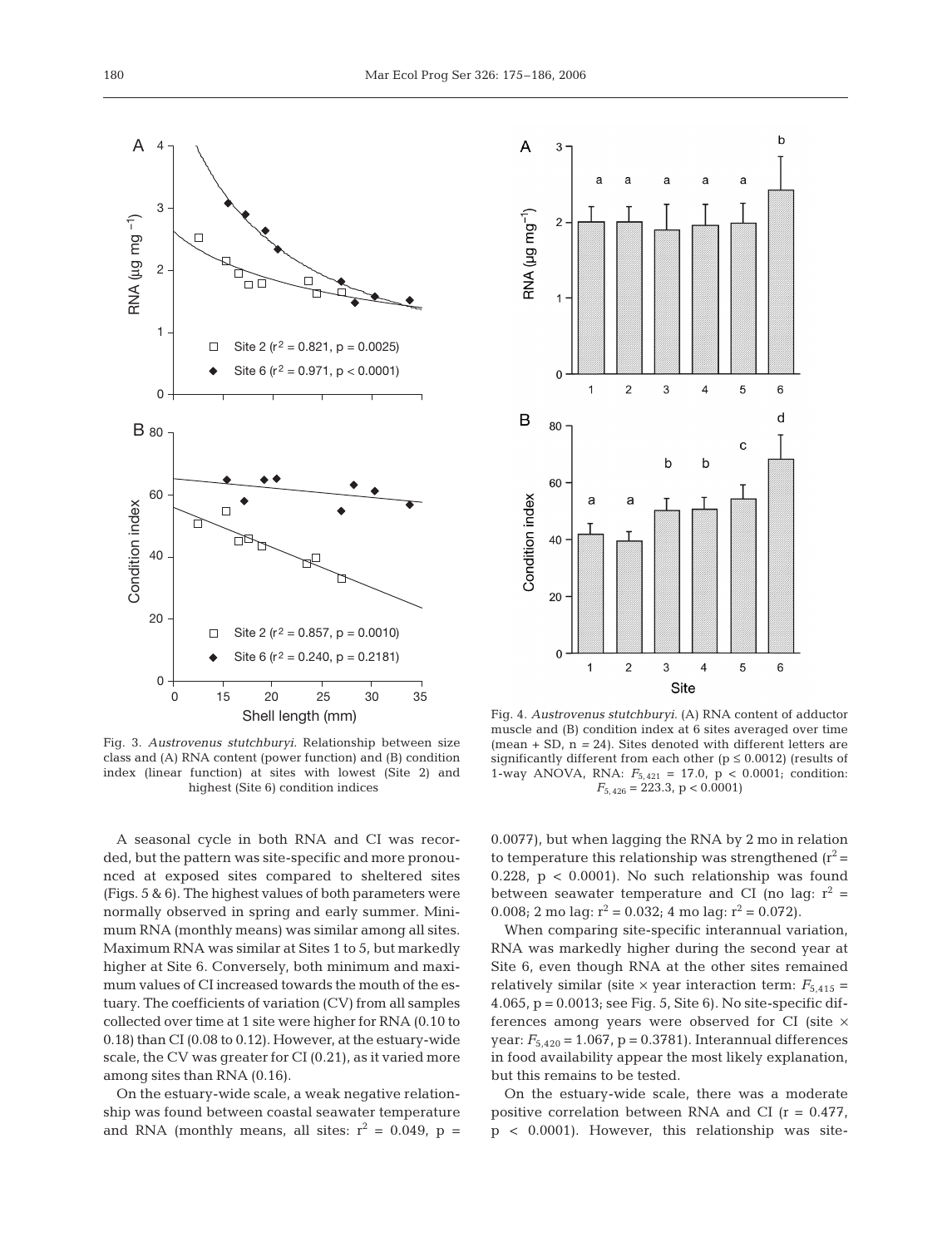

 $\mathsf{b}$  $\overline{A}$ 3 ż a RNA (µg mg<sup>-1</sup>)  $\overline{2}$  $\overline{1}$  $\overline{0}$  $\overline{1}$  $\overline{2}$  $\overline{3}$  $\overline{\mathbf{A}}$ 5 6 d B 80  $\mathbf{c}$ h  $\mathsf b$ 60 Condition index a a 40 20  $\overline{0}$  $\overline{c}$ 3 5  $\,6$  $\mathbf{1}$  $\overline{\mathcal{L}}$ Site

Fig. 3. *Austrovenus stutchburyi.* Relationship between size class and (A) RNA content (power function) and (B) condition index (linear function) at sites with lowest (Site 2) and highest (Site 6) condition indices

A seasonal cycle in both RNA and CI was recorded, but the pattern was site-specific and more pronounced at exposed sites compared to sheltered sites (Figs. 5 & 6). The highest values of both parameters were normally observed in spring and early summer. Minimum RNA (monthly means) was similar among all sites. Maximum RNA was similar at Sites 1 to 5, but markedly higher at Site 6. Conversely, both minimum and maximum values of CI increased towards the mouth of the estuary. The coefficients of variation (CV) from all samples collected over time at 1 site were higher for RNA (0.10 to 0.18) than CI (0.08 to 0.12). However, at the estuary-wide scale, the CV was greater for CI (0.21), as it varied more among sites than RNA (0.16).

On the estuary-wide scale, a weak negative relationship was found between coastal seawater temperature and RNA (monthly means, all sites:  $r^2 = 0.049$ ,  $p =$ 

Fig. 4. *Austrovenus stutchburyi.* (A) RNA content of adductor muscle and (B) condition index at 6 sites averaged over time (mean + SD, n *=* 24). Sites denoted with different letters are significantly different from each other ( $p \le 0.0012$ ) (results of 1-way ANOVA, RNA: *F*5, 421 = 17.0, p < 0.0001; condition:  $F_{5,\,426}=223.3,\,{\rm p}<0.0001)$ 

0.0077), but when lagging the RNA by 2 mo in relation to temperature this relationship was strengthened  $(r^2 =$ 0.228,  $p < 0.0001$ ). No such relationship was found between seawater temperature and CI (no lag:  $r^2$  = 0.008; 2 mo lag:  $r^2 = 0.032$ ; 4 mo lag:  $r^2 = 0.072$ ).

When comparing site-specific interannual variation, RNA was markedly higher during the second year at Site 6, even though RNA at the other sites remained relatively similar (site  $\times$  year interaction term:  $F_{5,415}$  = 4.065, p = 0.0013; see Fig. 5, Site 6). No site-specific differences among years were observed for CI (site  $\times$ year:  $F_{5,420} = 1.067$ ,  $p = 0.3781$ ). Interannual differences in food availability appear the most likely explanation, but this remains to be tested.

On the estuary-wide scale, there was a moderate positive correlation between RNA and CI  $(r = 0.477)$ , p < 0.0001). However, this relationship was site-

3

4

A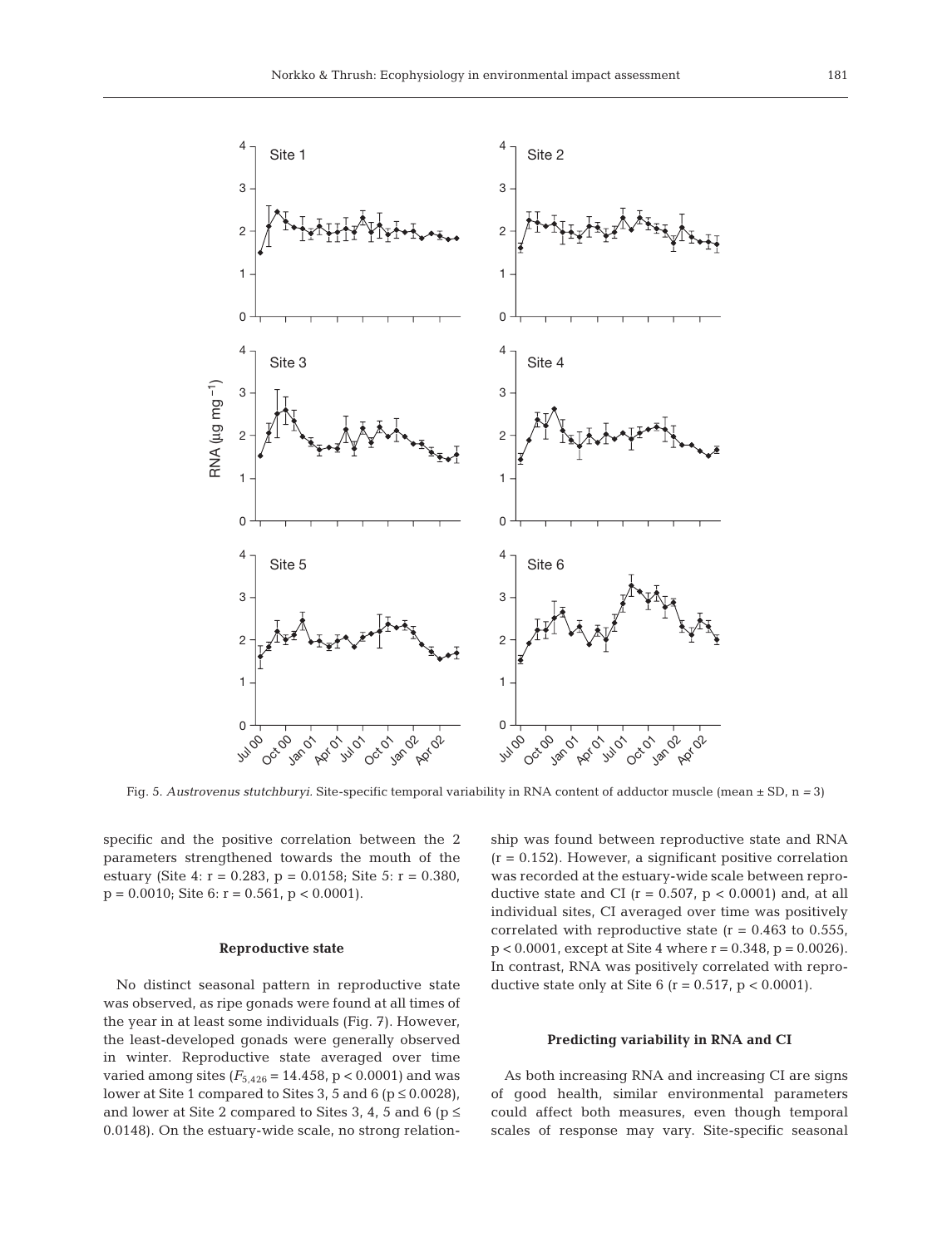

Fig. 5. *Austrovenus stutchburyi.* Site-specific temporal variability in RNA content of adductor muscle (mean ± SD, n *=* 3)

specific and the positive correlation between the 2 parameters strengthened towards the mouth of the estuary (Site 4: r = 0.283, p = 0.0158; Site 5: r = 0.380,  $p = 0.0010$ ; Site 6:  $r = 0.561$ ,  $p < 0.0001$ ).

#### **Reproductive state**

No distinct seasonal pattern in reproductive state was observed, as ripe gonads were found at all times of the year in at least some individuals (Fig. 7). However, the least-developed gonads were generally observed in winter. Reproductive state averaged over time varied among sites  $(F_{5,426} = 14.458, p < 0.0001)$  and was lower at Site 1 compared to Sites 3, 5 and 6 ( $p \le 0.0028$ ), and lower at Site 2 compared to Sites 3, 4, 5 and 6 ( $p \le$ 0.0148). On the estuary-wide scale, no strong relationship was found between reproductive state and RNA  $(r = 0.152)$ . However, a significant positive correlation was recorded at the estuary-wide scale between reproductive state and CI ( $r = 0.507$ ,  $p < 0.0001$ ) and, at all individual sites, CI averaged over time was positively correlated with reproductive state  $(r = 0.463$  to 0.555,  $p < 0.0001$ , except at Site 4 where  $r = 0.348$ ,  $p = 0.0026$ ). In contrast, RNA was positively correlated with reproductive state only at Site  $6$  (r = 0.517, p < 0.0001).

## **Predicting variability in RNA and CI**

As both increasing RNA and increasing CI are signs of good health, similar environmental parameters could affect both measures, even though temporal scales of response may vary. Site-specific seasonal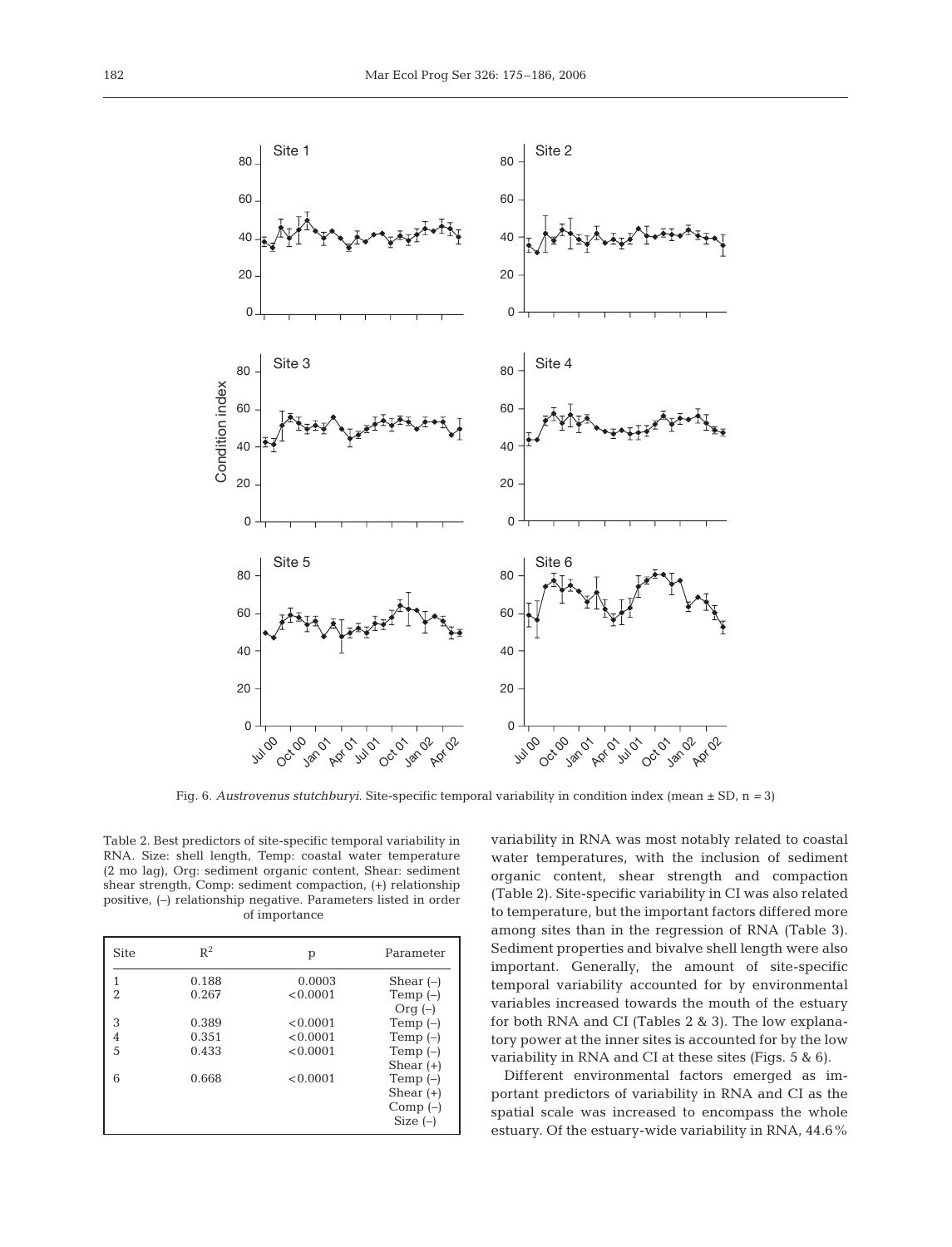

Fig. 6. *Austrovenus stutchburyi.* Site-specific temporal variability in condition index (mean ± SD, n *=* 3)

Table 2. Best predictors of site-specific temporal variability in RNA. Size: shell length, Temp: coastal water temperature (2 mo lag), Org: sediment organic content, Shear: sediment shear strength, Comp: sediment compaction, (+) relationship positive, (–) relationship negative. Parameters listed in order of importance

| <b>Site</b>    | $R^2$          | р                  | Parameter                                            |  |
|----------------|----------------|--------------------|------------------------------------------------------|--|
| 2              | 0.188<br>0.267 | 0.0003<br>< 0.0001 | Shear $(-)$                                          |  |
|                |                |                    | Temp $(-)$<br>Orq $(-)$                              |  |
| 3              | 0.389          | < 0.0001           | Temp $(-)$                                           |  |
| $\overline{4}$ | 0.351          | < 0.0001           | Temp $(-)$                                           |  |
| 5              | 0.433          | < 0.0001           | Temp $(-)$<br>Shear $(+)$                            |  |
| 6              | 0.668          | < 0.0001           | Temp $(-)$<br>Shear $(+)$<br>$Comp(-)$<br>Size $(-)$ |  |

variability in RNA was most notably related to coastal water temperatures, with the inclusion of sediment organic content, shear strength and compaction (Table 2). Site-specific variability in CI was also related to temperature, but the important factors differed more among sites than in the regression of RNA (Table 3). Sediment properties and bivalve shell length were also important. Generally, the amount of site-specific temporal variability accounted for by environmental variables increased towards the mouth of the estuary for both RNA and CI (Tables 2 & 3). The low explanatory power at the inner sites is accounted for by the low variability in RNA and CI at these sites (Figs. 5 & 6).

Different environmental factors emerged as important predictors of variability in RNA and CI as the spatial scale was increased to encompass the whole estuary. Of the estuary-wide variability in RNA, 44.6%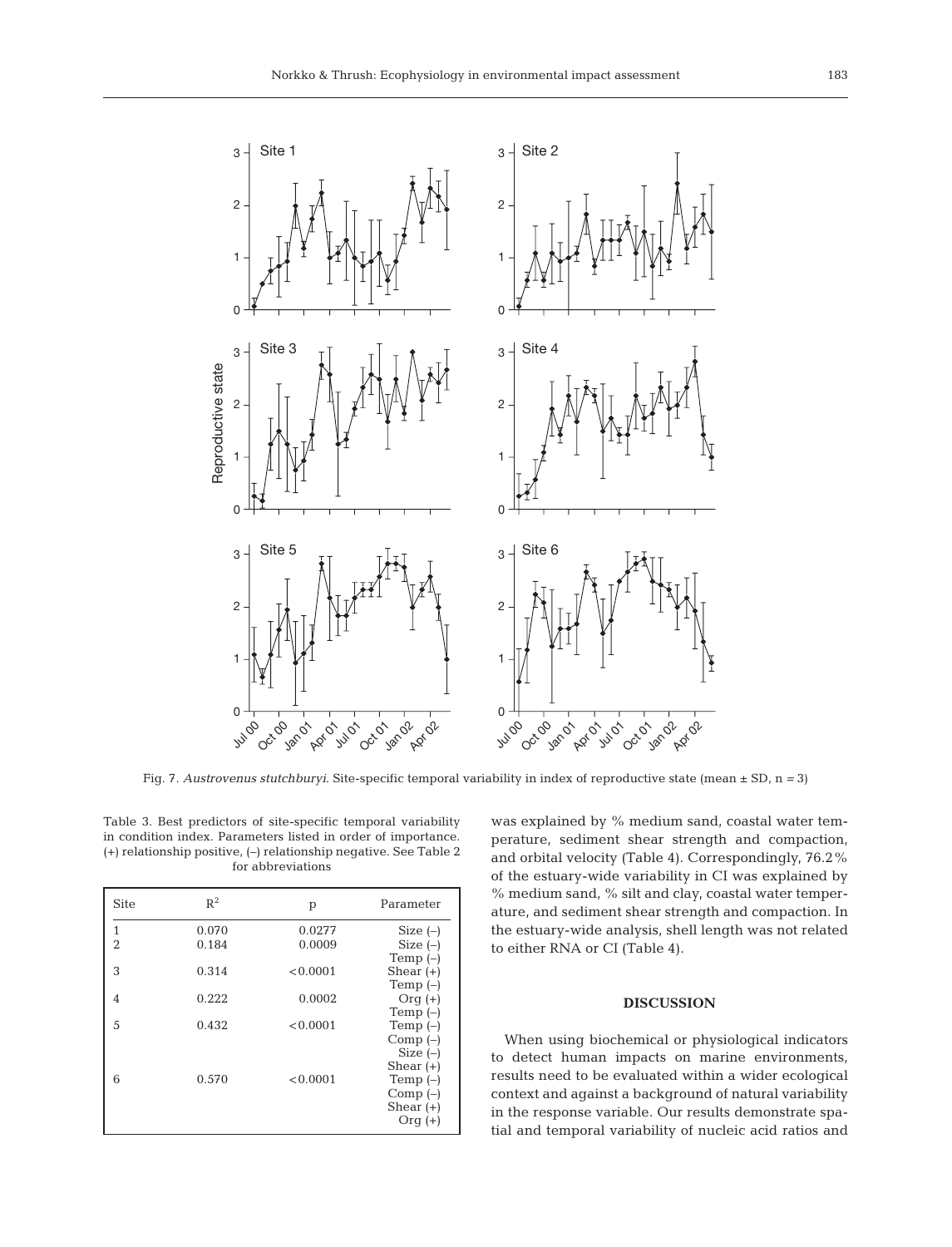

Fig. 7. *Austrovenus stutchburyi.* Site-specific temporal variability in index of reproductive state (mean ± SD, n *=* 3)

Table 3. Best predictors of site-specific temporal variability in condition index. Parameters listed in order of importance. (+) relationship positive, (–) relationship negative. See Table 2 for abbreviations

| <b>Site</b>    | $R^2$ | p        | Parameter   |
|----------------|-------|----------|-------------|
| 1              | 0.070 | 0.0277   | Size $(-)$  |
| $\overline{2}$ | 0.184 | 0.0009   | Size $(-)$  |
|                |       |          | Temp $(-)$  |
| 3              | 0.314 | < 0.0001 | Shear $(+)$ |
|                |       |          | Temp $(-)$  |
| 4              | 0.222 | 0.0002   | $Orq(+)$    |
|                |       |          | Temp $(-)$  |
| 5              | 0.432 | < 0.0001 | Temp $(-)$  |
|                |       |          | Comp $(-)$  |
|                |       |          | Size $(-)$  |
|                |       |          | Shear $(+)$ |
| 6              | 0.570 | < 0.0001 | Temp $(-)$  |
|                |       |          | $Comp(-)$   |
|                |       |          | Shear $(+)$ |
|                |       |          | $Orq(+)$    |

was explained by % medium sand, coastal water temperature, sediment shear strength and compaction, and orbital velocity (Table 4). Correspondingly, 76.2% of the estuary-wide variability in CI was explained by % medium sand, % silt and clay, coastal water temperature, and sediment shear strength and compaction. In the estuary-wide analysis, shell length was not related to either RNA or CI (Table 4).

## **DISCUSSION**

When using biochemical or physiological indicators to detect human impacts on marine environments, results need to be evaluated within a wider ecological context and against a background of natural variability in the response variable. Our results demonstrate spatial and temporal variability of nucleic acid ratios and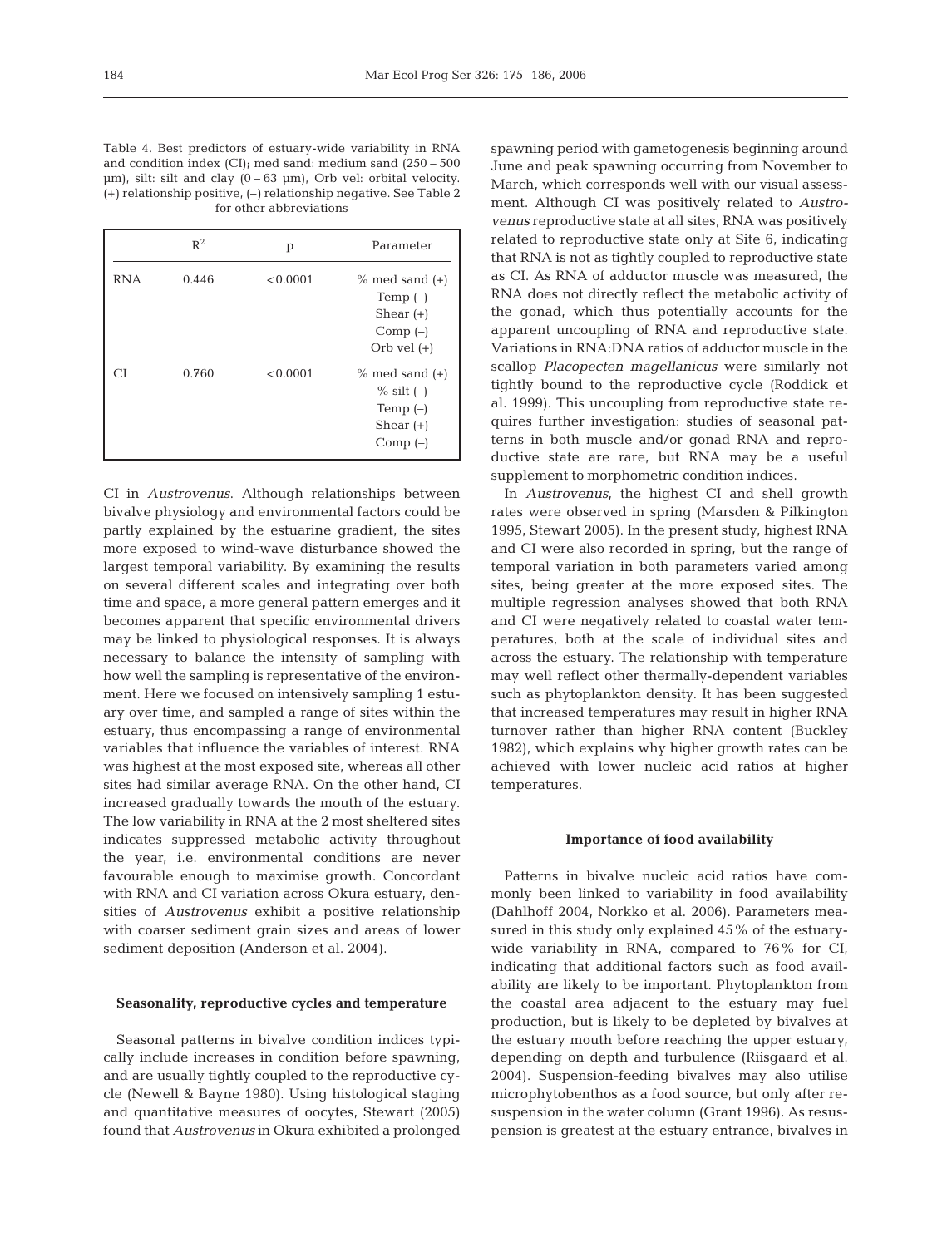| Table 4. Best predictors of estuary-wide variability in RNA              |
|--------------------------------------------------------------------------|
| and condition index (CI); med sand: medium sand $(250 - 500)$            |
| $\mu$ m), silt: silt and clay (0–63 $\mu$ m), Orb vel: orbital velocity. |
| $(+)$ relationship positive, $(-)$ relationship negative. See Table 2    |
| for other abbreviations                                                  |

|            | $R^2$ | р        | Parameter                                                                       |
|------------|-------|----------|---------------------------------------------------------------------------------|
| <b>RNA</b> | 0.446 | < 0.0001 | $\%$ med sand $(+)$<br>Temp $(-)$<br>Shear $(+)$<br>Comp $(-)$<br>Orb vel $(+)$ |
| СĪ         | 0.760 | < 0.0001 | $\%$ med sand $(+)$<br>$\%$ silt (-)<br>Temp $(-)$<br>Shear $(+)$<br>$Comp(-)$  |

CI in *Austrovenus*. Although relationships between bivalve physiology and environmental factors could be partly explained by the estuarine gradient, the sites more exposed to wind-wave disturbance showed the largest temporal variability. By examining the results on several different scales and integrating over both time and space, a more general pattern emerges and it becomes apparent that specific environmental drivers may be linked to physiological responses. It is always necessary to balance the intensity of sampling with how well the sampling is representative of the environment. Here we focused on intensively sampling 1 estuary over time, and sampled a range of sites within the estuary, thus encompassing a range of environmental variables that influence the variables of interest. RNA was highest at the most exposed site, whereas all other sites had similar average RNA. On the other hand, CI increased gradually towards the mouth of the estuary. The low variability in RNA at the 2 most sheltered sites indicates suppressed metabolic activity throughout the year, i.e. environmental conditions are never favourable enough to maximise growth. Concordant with RNA and CI variation across Okura estuary, densities of *Austrovenus* exhibit a positive relationship with coarser sediment grain sizes and areas of lower sediment deposition (Anderson et al. 2004).

#### **Seasonality, reproductive cycles and temperature**

Seasonal patterns in bivalve condition indices typically include increases in condition before spawning, and are usually tightly coupled to the reproductive cycle (Newell & Bayne 1980). Using histological staging and quantitative measures of oocytes, Stewart (2005) found that *Austrovenus* in Okura exhibited a prolonged

spawning period with gametogenesis beginning around June and peak spawning occurring from November to March, which corresponds well with our visual assessment. Although CI was positively related to *Austrovenus* reproductive state at all sites, RNA was positively related to reproductive state only at Site 6, indicating that RNA is not as tightly coupled to reproductive state as CI. As RNA of adductor muscle was measured, the RNA does not directly reflect the metabolic activity of the gonad, which thus potentially accounts for the apparent uncoupling of RNA and reproductive state. Variations in RNA:DNA ratios of adductor muscle in the scallop *Placopecten magellanicus* were similarly not tightly bound to the reproductive cycle (Roddick et al. 1999). This uncoupling from reproductive state requires further investigation: studies of seasonal patterns in both muscle and/or gonad RNA and reproductive state are rare, but RNA may be a useful supplement to morphometric condition indices.

In *Austrovenus*, the highest CI and shell growth rates were observed in spring (Marsden & Pilkington 1995, Stewart 2005). In the present study, highest RNA and CI were also recorded in spring, but the range of temporal variation in both parameters varied among sites, being greater at the more exposed sites. The multiple regression analyses showed that both RNA and CI were negatively related to coastal water temperatures, both at the scale of individual sites and across the estuary. The relationship with temperature may well reflect other thermally-dependent variables such as phytoplankton density. It has been suggested that increased temperatures may result in higher RNA turnover rather than higher RNA content (Buckley 1982), which explains why higher growth rates can be achieved with lower nucleic acid ratios at higher temperatures.

## **Importance of food availability**

Patterns in bivalve nucleic acid ratios have commonly been linked to variability in food availability (Dahlhoff 2004, Norkko et al. 2006). Parameters measured in this study only explained 45% of the estuarywide variability in RNA, compared to 76% for CI, indicating that additional factors such as food availability are likely to be important. Phytoplankton from the coastal area adjacent to the estuary may fuel production, but is likely to be depleted by bivalves at the estuary mouth before reaching the upper estuary, depending on depth and turbulence (Riisgaard et al. 2004). Suspension-feeding bivalves may also utilise microphytobenthos as a food source, but only after resuspension in the water column (Grant 1996). As resuspension is greatest at the estuary entrance, bivalves in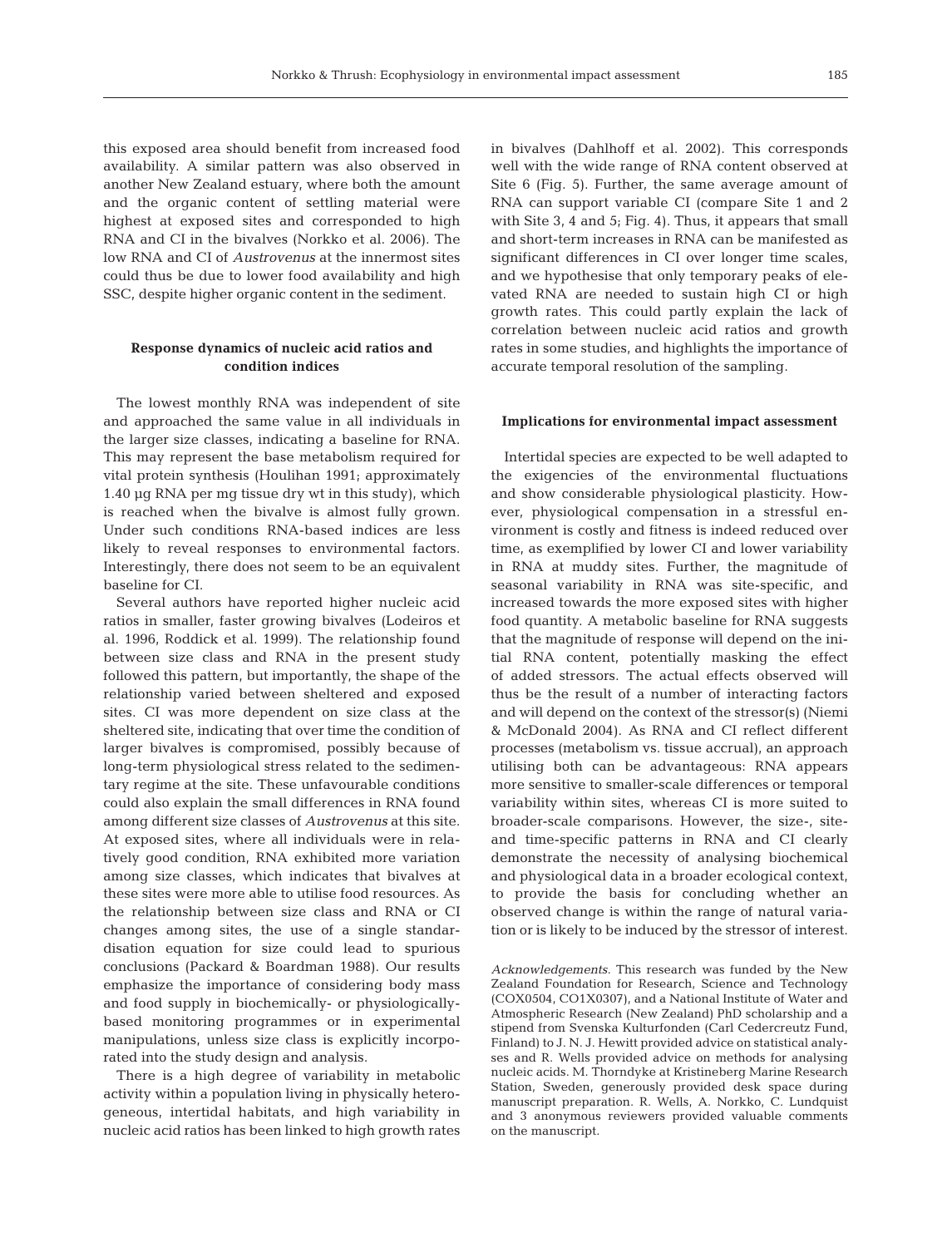this exposed area should benefit from increased food availability. A similar pattern was also observed in another New Zealand estuary, where both the amount and the organic content of settling material were highest at exposed sites and corresponded to high RNA and CI in the bivalves (Norkko et al. 2006). The low RNA and CI of *Austrovenus* at the innermost sites could thus be due to lower food availability and high SSC, despite higher organic content in the sediment.

# **Response dynamics of nucleic acid ratios and condition indices**

The lowest monthly RNA was independent of site and approached the same value in all individuals in the larger size classes, indicating a baseline for RNA. This may represent the base metabolism required for vital protein synthesis (Houlihan 1991; approximately 1.40 µg RNA per mg tissue dry wt in this study), which is reached when the bivalve is almost fully grown. Under such conditions RNA-based indices are less likely to reveal responses to environmental factors. Interestingly, there does not seem to be an equivalent baseline for CI.

Several authors have reported higher nucleic acid ratios in smaller, faster growing bivalves (Lodeiros et al. 1996, Roddick et al. 1999). The relationship found between size class and RNA in the present study followed this pattern, but importantly, the shape of the relationship varied between sheltered and exposed sites. CI was more dependent on size class at the sheltered site, indicating that over time the condition of larger bivalves is compromised, possibly because of long-term physiological stress related to the sedimentary regime at the site. These unfavourable conditions could also explain the small differences in RNA found among different size classes of *Austrovenus* at this site. At exposed sites, where all individuals were in relatively good condition, RNA exhibited more variation among size classes, which indicates that bivalves at these sites were more able to utilise food resources. As the relationship between size class and RNA or CI changes among sites, the use of a single standardisation equation for size could lead to spurious conclusions (Packard & Boardman 1988). Our results emphasize the importance of considering body mass and food supply in biochemically- or physiologicallybased monitoring programmes or in experimental manipulations, unless size class is explicitly incorporated into the study design and analysis.

There is a high degree of variability in metabolic activity within a population living in physically heterogeneous, intertidal habitats, and high variability in nucleic acid ratios has been linked to high growth rates in bivalves (Dahlhoff et al. 2002). This corresponds well with the wide range of RNA content observed at Site 6 (Fig. 5). Further, the same average amount of RNA can support variable CI (compare Site 1 and 2 with Site 3, 4 and 5; Fig. 4). Thus, it appears that small and short-term increases in RNA can be manifested as significant differences in CI over longer time scales, and we hypothesise that only temporary peaks of elevated RNA are needed to sustain high CI or high growth rates. This could partly explain the lack of correlation between nucleic acid ratios and growth rates in some studies, and highlights the importance of accurate temporal resolution of the sampling.

#### **Implications for environmental impact assessment**

Intertidal species are expected to be well adapted to the exigencies of the environmental fluctuations and show considerable physiological plasticity. However, physiological compensation in a stressful environment is costly and fitness is indeed reduced over time, as exemplified by lower CI and lower variability in RNA at muddy sites. Further, the magnitude of seasonal variability in RNA was site-specific, and increased towards the more exposed sites with higher food quantity. A metabolic baseline for RNA suggests that the magnitude of response will depend on the initial RNA content, potentially masking the effect of added stressors. The actual effects observed will thus be the result of a number of interacting factors and will depend on the context of the stressor(s) (Niemi & McDonald 2004). As RNA and CI reflect different processes (metabolism vs. tissue accrual), an approach utilising both can be advantageous: RNA appears more sensitive to smaller-scale differences or temporal variability within sites, whereas CI is more suited to broader-scale comparisons. However, the size-, siteand time-specific patterns in RNA and CI clearly demonstrate the necessity of analysing biochemical and physiological data in a broader ecological context, to provide the basis for concluding whether an observed change is within the range of natural variation or is likely to be induced by the stressor of interest.

*Acknowledgements.* This research was funded by the New Zealand Foundation for Research, Science and Technology (COX0504, CO1X0307), and a National Institute of Water and Atmospheric Research (New Zealand) PhD scholarship and a stipend from Svenska Kulturfonden (Carl Cedercreutz Fund, Finland) to J. N. J. Hewitt provided advice on statistical analyses and R. Wells provided advice on methods for analysing nucleic acids. M. Thorndyke at Kristineberg Marine Research Station, Sweden, generously provided desk space during manuscript preparation. R. Wells, A. Norkko, C. Lundquist and 3 anonymous reviewers provided valuable comments on the manuscript.